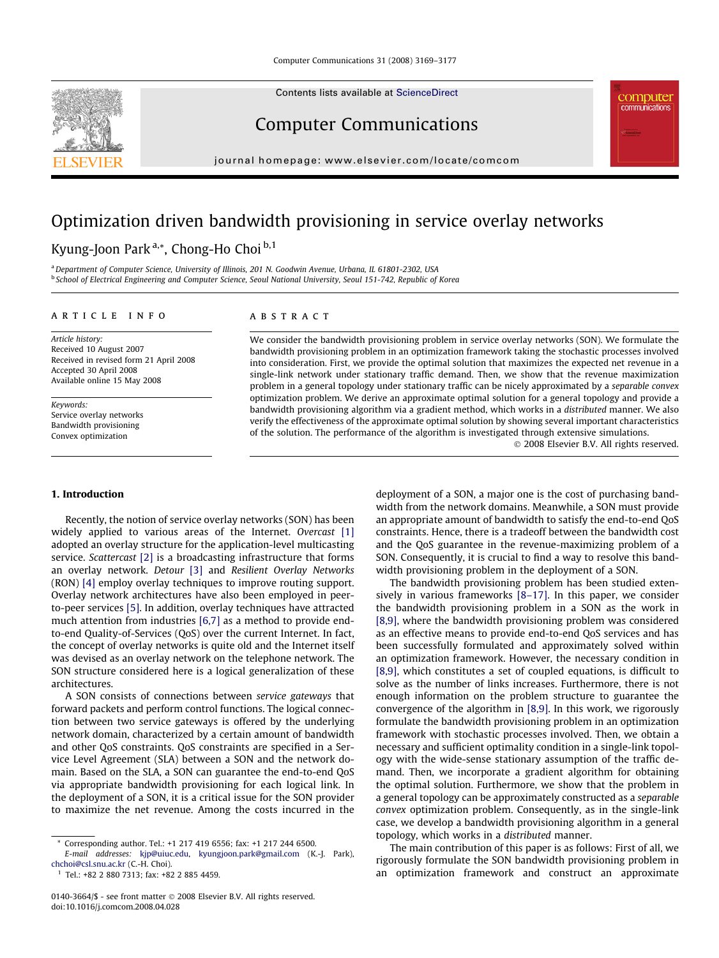Contents lists available at [ScienceDirect](http://www.sciencedirect.com/science/journal/01403664)

# Computer Communications

journal homepage: [www.elsevier.com/locate/comcom](http://www.elsevier.com/locate/comcom)

# Optimization driven bandwidth provisioning in service overlay networks

# Kyung-Joon Park<sup>a,\*</sup>, Chong-Ho Choi<sup>b,1</sup>

<sup>a</sup> Department of Computer Science, University of Illinois, 201 N. Goodwin Avenue, Urbana, IL 61801-2302, USA <sup>b</sup> School of Electrical Engineering and Computer Science, Seoul National University, Seoul 151-742, Republic of Korea

## ARTICLE INFO

Article history: Received 10 August 2007 Received in revised form 21 April 2008 Accepted 30 April 2008 Available online 15 May 2008

Keywords: Service overlay networks Bandwidth provisioning Convex optimization

#### 1. Introduction

Recently, the notion of service overlay networks (SON) has been widely applied to various areas of the Internet. Overcast [\[1\]](#page-8-0) adopted an overlay structure for the application-level multicasting service. Scattercast [\[2\]](#page-8-0) is a broadcasting infrastructure that forms an overlay network. Detour [\[3\]](#page-8-0) and Resilient Overlay Networks (RON) [\[4\]](#page-8-0) employ overlay techniques to improve routing support. Overlay network architectures have also been employed in peerto-peer services [\[5\].](#page-8-0) In addition, overlay techniques have attracted much attention from industries [\[6,7\]](#page-8-0) as a method to provide endto-end Quality-of-Services (QoS) over the current Internet. In fact, the concept of overlay networks is quite old and the Internet itself was devised as an overlay network on the telephone network. The SON structure considered here is a logical generalization of these architectures.

A SON consists of connections between service gateways that forward packets and perform control functions. The logical connection between two service gateways is offered by the underlying network domain, characterized by a certain amount of bandwidth and other QoS constraints. QoS constraints are specified in a Service Level Agreement (SLA) between a SON and the network domain. Based on the SLA, a SON can guarantee the end-to-end QoS via appropriate bandwidth provisioning for each logical link. In the deployment of a SON, it is a critical issue for the SON provider to maximize the net revenue. Among the costs incurred in the

# **ABSTRACT**

We consider the bandwidth provisioning problem in service overlay networks (SON). We formulate the bandwidth provisioning problem in an optimization framework taking the stochastic processes involved into consideration. First, we provide the optimal solution that maximizes the expected net revenue in a single-link network under stationary traffic demand. Then, we show that the revenue maximization problem in a general topology under stationary traffic can be nicely approximated by a separable convex optimization problem. We derive an approximate optimal solution for a general topology and provide a bandwidth provisioning algorithm via a gradient method, which works in a distributed manner. We also verify the effectiveness of the approximate optimal solution by showing several important characteristics of the solution. The performance of the algorithm is investigated through extensive simulations.

- 2008 Elsevier B.V. All rights reserved.

computer communications

deployment of a SON, a major one is the cost of purchasing bandwidth from the network domains. Meanwhile, a SON must provide an appropriate amount of bandwidth to satisfy the end-to-end QoS constraints. Hence, there is a tradeoff between the bandwidth cost and the QoS guarantee in the revenue-maximizing problem of a SON. Consequently, it is crucial to find a way to resolve this bandwidth provisioning problem in the deployment of a SON.

The bandwidth provisioning problem has been studied extensively in various frameworks [\[8–17\].](#page-8-0) In this paper, we consider the bandwidth provisioning problem in a SON as the work in [\[8,9\],](#page-8-0) where the bandwidth provisioning problem was considered as an effective means to provide end-to-end QoS services and has been successfully formulated and approximately solved within an optimization framework. However, the necessary condition in [\[8,9\],](#page-8-0) which constitutes a set of coupled equations, is difficult to solve as the number of links increases. Furthermore, there is not enough information on the problem structure to guarantee the convergence of the algorithm in [\[8,9\]](#page-8-0). In this work, we rigorously formulate the bandwidth provisioning problem in an optimization framework with stochastic processes involved. Then, we obtain a necessary and sufficient optimality condition in a single-link topology with the wide-sense stationary assumption of the traffic demand. Then, we incorporate a gradient algorithm for obtaining the optimal solution. Furthermore, we show that the problem in a general topology can be approximately constructed as a separable convex optimization problem. Consequently, as in the single-link case, we develop a bandwidth provisioning algorithm in a general topology, which works in a distributed manner.

The main contribution of this paper is as follows: First of all, we rigorously formulate the SON bandwidth provisioning problem in an optimization framework and construct an approximate



Corresponding author. Tel.: +1 217 419 6556; fax: +1 217 244 6500.

E-mail addresses: [kjp@uiuc.edu](mailto:kjp@uiuc.edu), [kyungjoon.park@gmail.com](mailto:kyungjoon.park@gmail.com) (K.-J. Park), [chchoi@csl.snu.ac.kr](mailto:chchoi@csl.snu.ac.kr) (C.-H. Choi). <sup>1</sup> Tel.: +82 2 880 7313; fax: +82 2 885 4459.

<sup>0140-3664/\$ -</sup> see front matter © 2008 Elsevier B.V. All rights reserved. doi:10.1016/j.comcom.2008.04.028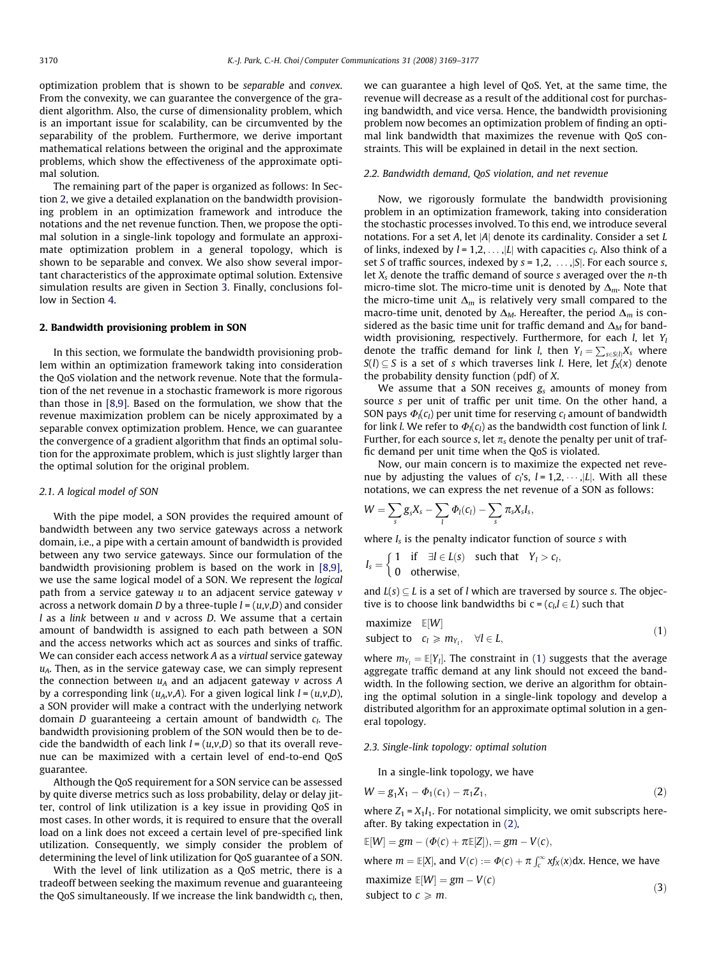<span id="page-1-0"></span>optimization problem that is shown to be separable and convex. From the convexity, we can guarantee the convergence of the gradient algorithm. Also, the curse of dimensionality problem, which is an important issue for scalability, can be circumvented by the separability of the problem. Furthermore, we derive important mathematical relations between the original and the approximate problems, which show the effectiveness of the approximate optimal solution.

The remaining part of the paper is organized as follows: In Section 2, we give a detailed explanation on the bandwidth provisioning problem in an optimization framework and introduce the notations and the net revenue function. Then, we propose the optimal solution in a single-link topology and formulate an approximate optimization problem in a general topology, which is shown to be separable and convex. We also show several important characteristics of the approximate optimal solution. Extensive simulation results are given in Section [3](#page-5-0). Finally, conclusions follow in Section [4](#page-8-0).

#### 2. Bandwidth provisioning problem in SON

In this section, we formulate the bandwidth provisioning problem within an optimization framework taking into consideration the QoS violation and the network revenue. Note that the formulation of the net revenue in a stochastic framework is more rigorous than those in [\[8,9\]](#page-8-0). Based on the formulation, we show that the revenue maximization problem can be nicely approximated by a separable convex optimization problem. Hence, we can guarantee the convergence of a gradient algorithm that finds an optimal solution for the approximate problem, which is just slightly larger than the optimal solution for the original problem.

#### 2.1. A logical model of SON

With the pipe model, a SON provides the required amount of bandwidth between any two service gateways across a network domain, i.e., a pipe with a certain amount of bandwidth is provided between any two service gateways. Since our formulation of the bandwidth provisioning problem is based on the work in [\[8,9\],](#page-8-0) we use the same logical model of a SON. We represent the logical path from a service gateway u to an adjacent service gateway v across a network domain D by a three-tuple  $l = (u, v, D)$  and consider  $l$  as a link between  $u$  and  $v$  across  $D$ . We assume that a certain amount of bandwidth is assigned to each path between a SON and the access networks which act as sources and sinks of traffic. We can consider each access network A as a virtual service gateway  $u<sub>A</sub>$ . Then, as in the service gateway case, we can simply represent the connection between  $u_A$  and an adjacent gateway  $v$  across  $A$ by a corresponding link ( $u_A$ , $v_A$ ). For a given logical link  $l = (u,v,D)$ , a SON provider will make a contract with the underlying network domain  $D$  guaranteeing a certain amount of bandwidth  $c_l$ . The bandwidth provisioning problem of the SON would then be to decide the bandwidth of each link  $l = (u,v,D)$  so that its overall revenue can be maximized with a certain level of end-to-end QoS guarantee.

Although the QoS requirement for a SON service can be assessed by quite diverse metrics such as loss probability, delay or delay jitter, control of link utilization is a key issue in providing QoS in most cases. In other words, it is required to ensure that the overall load on a link does not exceed a certain level of pre-specified link utilization. Consequently, we simply consider the problem of determining the level of link utilization for QoS guarantee of a SON.

With the level of link utilization as a QoS metric, there is a tradeoff between seeking the maximum revenue and guaranteeing the QoS simultaneously. If we increase the link bandwidth  $c<sub>l</sub>$ , then, we can guarantee a high level of QoS. Yet, at the same time, the revenue will decrease as a result of the additional cost for purchasing bandwidth, and vice versa. Hence, the bandwidth provisioning problem now becomes an optimization problem of finding an optimal link bandwidth that maximizes the revenue with QoS constraints. This will be explained in detail in the next section.

#### 2.2. Bandwidth demand, QoS violation, and net revenue

Now, we rigorously formulate the bandwidth provisioning problem in an optimization framework, taking into consideration the stochastic processes involved. To this end, we introduce several notations. For a set A, let  $|A|$  denote its cardinality. Consider a set  $L$ of links, indexed by  $l = 1, 2, \ldots, |L|$  with capacities  $c_l$ . Also think of a set S of traffic sources, indexed by  $s = 1, 2, \ldots, |S|$ . For each source s, let  $X_s$  denote the traffic demand of source s averaged over the *n*-th micro-time slot. The micro-time unit is denoted by  $\Delta_m$ . Note that the micro-time unit  $\Delta_m$  is relatively very small compared to the macro-time unit, denoted by  $\Delta_M$ . Hereafter, the period  $\Delta_m$  is considered as the basic time unit for traffic demand and  $\Delta_M$  for bandwidth provisioning, respectively. Furthermore, for each  $l$ , let  $Y_l$ denote the traffic demand for link *l*, then  $Y_l = \sum_{s \in S(l)} X_s$  where  $S(l) \subseteq S$  is a set of s which traverses link *l*. Here, let  $f_X(x)$  denote the probability density function (pdf) of X.

We assume that a SON receives  $g_s$  amounts of money from source s per unit of traffic per unit time. On the other hand, a SON pays  $\Phi_l(c_l)$  per unit time for reserving  $c_l$  amount of bandwidth for link *l*. We refer to  $\Phi_l(c_l)$  as the bandwidth cost function of link *l*. Further, for each source s, let  $\pi_s$  denote the penalty per unit of traffic demand per unit time when the QoS is violated.

Now, our main concern is to maximize the expected net revenue by adjusting the values of  $c_i$ 's,  $l = 1,2, \cdots, |L|$ . With all these notations, we can express the net revenue of a SON as follows:

$$
W = \sum_s g_s X_s - \sum_l \Phi_l(c_l) - \sum_s \pi_s X_s I_s,
$$

where  $I_s$  is the penalty indicator function of source s with

$$
I_s = \begin{cases} 1 & \text{if } \quad \exists l \in L(s) \quad \text{such that} \quad Y_l > c_l, \\ 0 & \text{otherwise,} \end{cases}
$$

and  $L(s) \subseteq L$  is a set of l which are traversed by source s. The objective is to choose link bandwidths bi  $c = (c_l, l \in L)$  such that

maximize 
$$
\mathbb{E}[W]
$$
  
subject to  $c_l \ge m_{Y_l}$ ,  $\forall l \in L$ , (1)

where  $m_{Y_l} = \mathbb{E}[Y_l]$ . The constraint in (1) suggests that the average aggregate traffic demand at any link should not exceed the bandwidth. In the following section, we derive an algorithm for obtaining the optimal solution in a single-link topology and develop a distributed algorithm for an approximate optimal solution in a general topology.

## 2.3. Single-link topology: optimal solution

In a single-link topology, we have

$$
W = g_1 X_1 - \Phi_1(c_1) - \pi_1 Z_1, \tag{2}
$$

where  $Z_1 = X_1I_1$ . For notational simplicity, we omit subscripts hereafter. By taking expectation in (2),

$$
\mathbb{E}[W] = gm - (\Phi(c) + \pi \mathbb{E}[Z]), = gm - V(c),
$$

where  $m = \mathbb{E}[X]$ , and  $V(c) := \Phi(c) + \pi \int_{c}^{\infty} x f_X(x) dx$ . Hence, we have

$$
\text{maximize } \mathbb{E}[W] = gm - V(c) \n\text{subject to } c \ge m. \tag{3}
$$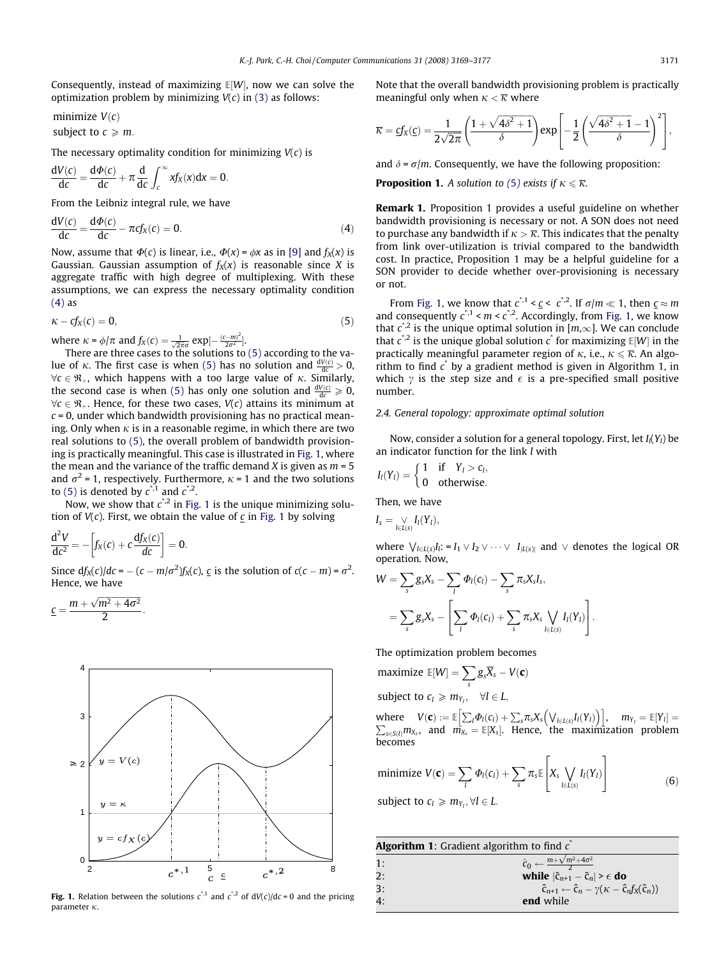<span id="page-2-0"></span>Consequently, instead of maximizing  $E[W]$ , now we can solve the optimization problem by minimizing  $V(c)$  in [\(3\)](#page-1-0) as follows:

minimize  $V(c)$ 

subject to  $c \ge m$ .

The necessary optimality condition for minimizing  $V(c)$  is

$$
\frac{dV(c)}{dc} = \frac{d\Phi(c)}{dc} + \pi \frac{d}{dc} \int_c^{\infty} x f_X(x) dx = 0.
$$

From the Leibniz integral rule, we have

$$
\frac{dV(c)}{dc} = \frac{d\Phi(c)}{dc} - \pi cf_X(c) = 0.
$$
\n(4)

Now, assume that  $\Phi(c)$  is linear, i.e.,  $\Phi(x) = \phi x$  as in [\[9\]](#page-8-0) and  $f_X(x)$  is Gaussian. Gaussian assumption of  $f_X(x)$  is reasonable since X is aggregate traffic with high degree of multiplexing. With these assumptions, we can express the necessary optimality condition (4) as

$$
\kappa - cf_X(c) = 0,\t\t(5)
$$

where  $\kappa = \phi/\pi$  and  $f_X(c) = \frac{1}{\sqrt{2\pi}\sigma} \exp[-\frac{(c-m)^2}{2\sigma^2}]$ .<br>There are three cases to the solutions to (5) according to the value of  $\kappa$ . The first case is when (5) has no solution and  $\frac{dV(c)}{dc} > 0$ ,  $\forall c \in \mathcal{R}_+$ , which happens with a too large value of  $\kappa$ . Similarly, the second case is when (5) has only one solution and  $\frac{dV(c)}{dc} \ge 0$ ,  $\forall c \in \mathfrak{R}_+$ . Hence, for these two cases,  $V(c)$  attains its minimum at  $c = 0$ , under which bandwidth provisioning has no practical meaning. Only when  $\kappa$  is in a reasonable regime, in which there are two real solutions to (5), the overall problem of bandwidth provisioning is practically meaningful. This case is illustrated in Fig. 1, where the mean and the variance of the traffic demand  $X$  is given as  $m = 5$ and  $\sigma^2$  = 1, respectively. Furthermore,  $\kappa$  = 1 and the two solutions to (5) is denoted by  $c^{*,1}$  and  $c^{*,2}$ .

Now, we show that  $c^{\dagger 2}$  in Fig. 1 is the unique minimizing solution of  $V(c)$ . First, we obtain the value of  $\frac{c}{c}$  in Fig. 1 by solving

$$
\frac{d^2V}{dc^2} = -\left[f_X(c) + c\frac{df_X(c)}{dc}\right] = 0.
$$

Since  $df_X(c)/dc = -(c-m/\sigma^2)f_X(c)$ , <u>c</u> is the solution of  $c(c-m) = \sigma^2$ . Hence, we have

$$
\underline{c} = \frac{m + \sqrt{m^2 + 4\sigma^2}}{2}.
$$



**Fig. 1.** Relation between the solutions  $c^{*,1}$  and  $c^{*,2}$  of  $dV(c)/dc = 0$  and the pricing parameter  $\kappa$ .

Note that the overall bandwidth provisioning problem is practically meaningful only when  $\kappa < \overline{\kappa}$  where

$$
\overline{\kappa} = \mathcal{c} f_X(\underline{c}) = \frac{1}{2\sqrt{2\pi}} \left( \frac{1 + \sqrt{4\delta^2 + 1}}{\delta} \right) \exp \left[ -\frac{1}{2} \left( \frac{\sqrt{4\delta^2 + 1} - 1}{\delta} \right)^2 \right],
$$

and  $\delta = \sigma/m$ . Consequently, we have the following proposition:

**Proposition 1.** A solution to (5) exists if  $\kappa \leq \overline{\kappa}$ .

Remark 1. Proposition 1 provides a useful guideline on whether bandwidth provisioning is necessary or not. A SON does not need to purchase any bandwidth if  $\kappa > \overline{\kappa}$ . This indicates that the penalty from link over-utilization is trivial compared to the bandwidth cost. In practice, Proposition 1 may be a helpful guideline for a SON provider to decide whether over-provisioning is necessary or not.

From Fig. 1, we know that  $c^{*,1} < c < c^{*,2}$ . If  $\sigma/m \ll 1$ , then  $c \approx m$ and consequently  $c^{*1} < m < c^{*2}$ . Accordingly, from Fig. 1, we know that  $c^{\dagger,2}$  is the unique optimal solution in  $[m,\infty]$ . We can conclude that  $c^{*,2}$  is the unique global solution  $c^{*}$  for maximizing  $\mathbb{E}[W]$  in the practically meaningful parameter region of  $\kappa$ , i.e.,  $\kappa \leq \overline{\kappa}$ . An algorithm to find  $c^*$  by a gradient method is given in Algorithm 1, in which  $\gamma$  is the step size and  $\epsilon$  is a pre-specified small positive number.

#### 2.4. General topology: approximate optimal solution

Now, consider a solution for a general topology. First, let  $I_l(Y_l)$  be an indicator function for the link l with

$$
I_l(Y_l) = \begin{cases} 1 & \text{if } Y_l > c_l, \\ 0 & \text{otherwise.} \end{cases}
$$

Then, we have

$$
I_s=\bigvee_{l\in L(s)}I_l(Y_l),
$$

where  $\bigvee_{l \in L(s)} I_l$ : =  $I_1 \vee I_2 \vee \cdots \vee I_{|L(s)|}$  and  $\vee$  denotes the logical OR operation. Now,

$$
W = \sum_{s} g_{s} X_{s} - \sum_{l} \Phi_{l}(c_{l}) - \sum_{s} \pi_{s} X_{s} I_{s},
$$
  
= 
$$
\sum_{s} g_{s} X_{s} - \left[ \sum_{l} \Phi_{l}(c_{l}) + \sum_{s} \pi_{s} X_{s} \bigvee_{l \in L(s)} I_{l}(Y_{l}) \right].
$$

The optimization problem becomes

$$
\begin{aligned}\n\text{maximize } \mathbb{E}[W] &= \sum_{s} g_s \overline{X}_s - V(\mathbf{c}) \\
\text{subject to } c_l &\geq m_{Y_l}, \quad \forall l \in L,\n\end{aligned}
$$

where  $V(\mathbf{c}) := \mathbb{E} \Big[ \sum_l \Phi_l(c_l) + \sum_s \pi_s X_s \Big( \bigvee_{l \in L(s)} I_l(Y_l) \Big) \Big], \quad m_{Y_l} = \mathbb{E}[Y_l] = \sum_{s \in S(l)} m_{X_s}$ , and  $m_{X_s} = \mathbb{E}[X_s]$ . Hence, the maximization problem becomes

minimize 
$$
V(\mathbf{c}) = \sum_{l} \Phi_{l}(c_{l}) + \sum_{s} \pi_{s} \mathbb{E} \left[ X_{s} \bigvee_{l \in L(s)} I_{l}(Y_{l}) \right]
$$
  
subject to  $c_{l} > m, \forall l \in I$  (6)

subject to  $c_l \geqslant m_{Y_l}, \forall l \in L$ .

| <b>Algorithm 1:</b> Gradient algorithm to find $c^{\dagger}$ |                                                                                  |  |  |
|--------------------------------------------------------------|----------------------------------------------------------------------------------|--|--|
| $\mathbf{1}$ :                                               | $\hat{c}_0 \leftarrow \frac{m + \sqrt{m^2 + 4\sigma^2}}{2}$                      |  |  |
| 2:                                                           | while $ \hat{c}_{n+1} - \hat{c}_n  > \epsilon$ do                                |  |  |
| 3:                                                           | $\hat{c}_{n+1} \leftarrow \hat{c}_n - \gamma(\kappa - \hat{c}_n f_X(\hat{c}_n))$ |  |  |
| 4:                                                           | end while                                                                        |  |  |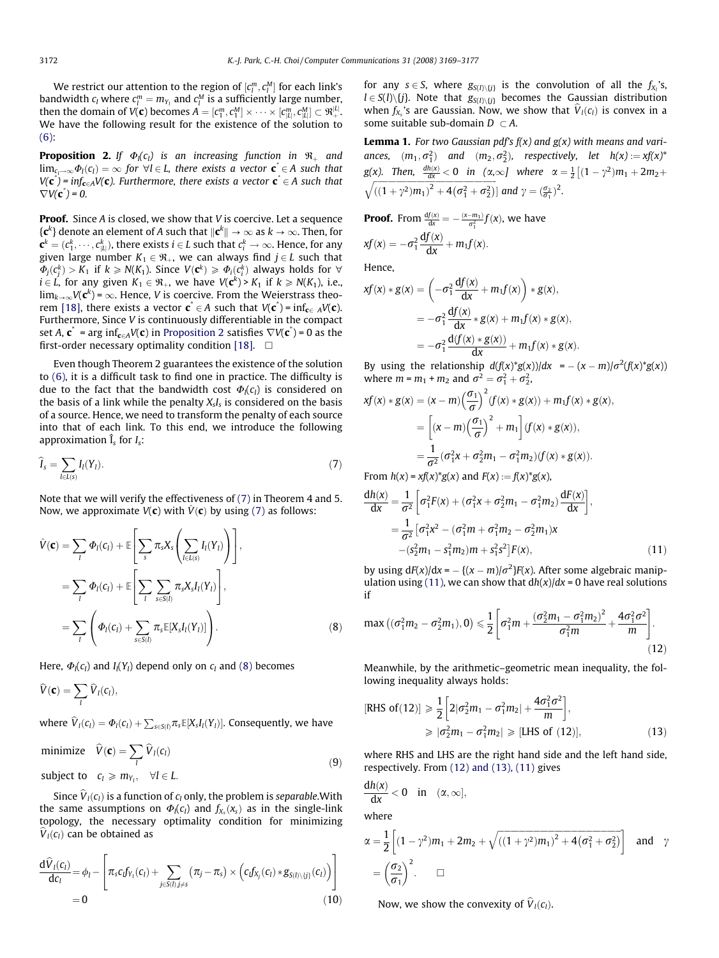<span id="page-3-0"></span>We restrict our attention to the region of  $[c^m_l, c^M_l]$  for each link's bandwidth  $c_l$  where  $c_l^m = m_{Y_l}$  and  $c_l^M$  is a sufficiently large number, then the domain of V(**c**) becomes  $A=[c_1^m,c_1^M]\times\cdots\times [c_{|L|}^m,c_{|L|}^M]\subset \mathfrak{R}_+^{|L|}.$ We have the following result for the existence of the solution to [\(6\)](#page-2-0):

**Proposition 2.** If  $\Phi_l(c_l)$  is an increasing function in  $\Re$  and  $\lim_{c\to\infty}\Phi_l(c_l)=\infty$  for  $\forall l\in L$ , there exists a vector  $\mathbf{c}^*\in A$  such that  $V(c^*)$  = inf<sub>c $\in$ A</sub>V(c). Furthermore, there exists a vector  $c^*\in A$  such that  $\nabla V(\mathbf{c}^*)=0.$ 

**Proof.** Since A is closed, we show that V is coercive. Let a sequence { ${\bf c}^k$ } denote an element of A such that  $\|{\bf c}^k\|\to\infty$  as  $k\to\infty.$  Then, for  $\mathbf{c}^k = (c^k_1, \cdots, c^k_{|L|}),$  there exists  $i \in L$  such that  $c^k_i \rightarrow \infty.$  Hence, for any given large number  $K_1 \in \mathfrak{R}_+$ , we can always find  $j \in L$  such that  $\Phi_j(c_j^k) > K_1$  if  $k \geqslant N(K_1)$ . Since  $V(\mathbf{c}^k) \geqslant \Phi_i(c_i^k)$  always holds for  $\forall$  $i \in \check{L}$ , for any given  $K_1 \in \mathfrak{R}_+$ , we have  $V(\mathbf{c}^k) \ge K_1$  if  $k \ge N(K_1)$ , i.e., lim $_{k\to\infty}$ V( $\mathbf{c}^k$ ) =  $\infty$ . Hence, V is coercive. From the Weierstrass theo-rem [\[18\],](#page-8-0) there exists a vector  $\mathbf{c}^*\in A$  such that  $V(\mathbf{c}^*)$  =  $\inf_{\mathbf{c}\in A}V(\mathbf{c})$ . Furthermore, Since V is continuously differentiable in the compact set A,  $\mathbf{c}^*$  = arg inf $_{\mathbf{c}\in A}$ V( $\mathbf{c}$ ) in Proposition 2 satisfies  $\nabla V(\mathbf{c}^*)$ = 0 as the first-order necessary optimality condition [\[18\]](#page-8-0).  $\Box$ 

Even though Theorem 2 guarantees the existence of the solution to [\(6\)](#page-2-0), it is a difficult task to find one in practice. The difficulty is due to the fact that the bandwidth cost  $\Phi_l(c_l)$  is considered on the basis of a link while the penalty  $X_{s}I_{s}$  is considered on the basis of a source. Hence, we need to transform the penalty of each source into that of each link. To this end, we introduce the following approximation  $\hat{\mathbf{l}}_s$  for  $I_s$ :

$$
\widehat{I}_s = \sum_{l \in L(s)} I_l(Y_l). \tag{7}
$$

Note that we will verify the effectiveness of (7) in Theorem 4 and 5. Now, we approximate  $V(c)$  with  $\hat{V}(c)$  by using (7) as follows:

$$
\hat{V}(\mathbf{c}) = \sum_{l} \Phi_{l}(c_{l}) + \mathbb{E}\left[\sum_{s} \pi_{s} X_{s} \left(\sum_{l \in L(s)} I_{l}(Y_{l})\right)\right],
$$
\n
$$
= \sum_{l} \Phi_{l}(c_{l}) + \mathbb{E}\left[\sum_{l} \sum_{s \in S(l)} \pi_{s} X_{s} I_{l}(Y_{l})\right],
$$
\n
$$
= \sum_{l} \left(\Phi_{l}(c_{l}) + \sum_{s \in S(l)} \pi_{s} \mathbb{E}[X_{s} I_{l}(Y_{l})]\right).
$$
\n(8)

Here,  $\Phi_l(c_l)$  and  $I_l(Y_l)$  depend only on  $c_l$  and (8) becomes

$$
\widehat{V}(\mathbf{c}) = \sum_{l} \widehat{V}_{l}(c_{l}),
$$
  
where  $\widehat{V}_{l}(c_{l}) = \Phi_{l}(c_{l}) + \sum_{s \in S(l)} \pi_{s} \mathbb{E}[X_{s}I_{l}(Y_{l})].$  Consequently, we have

minimize 
$$
\widehat{V}(\mathbf{c}) = \sum_{l} \widehat{V}_{l}(c_{l})
$$
  
subject to  $c_{l} \ge m_{Y_{l}}, \quad \forall l \in L.$  (9)

Since  $\hat{V}_l(c_l)$  is a function of  $c_l$  only, the problem is separable. With the same assumptions on  $\Phi_l(c_l)$  and  $f_{X_s}(x_s)$  as in the single-link topology, the necessary optimality condition for minimizing  $\hat{V}_l(c_l)$  can be obtained as

$$
\frac{\mathrm{d}\widehat{V}_l(c_l)}{\mathrm{d}c_l} = \phi_l - \left[ \pi_s c_l f_{Y_l}(c_l) + \sum_{j \in S(l), j \neq s} (\pi_j - \pi_s) \times \left( c_l f_{X_j}(c_l) * g_{S(l) \setminus \{j\}}(c_l) \right) \right]
$$
\n
$$
= 0 \tag{10}
$$

for any  $s \in S$ , where  $g_{S(1) \setminus \{j\}}$  is the convolution of all the  $f_{X_i}$ 's,  $l \in S(l) \setminus \{j\}$ . Note that  $g_{S(l) \setminus \{j\}}$  becomes the Gaussian distribution when  $f_{X_s}$ 's are Gaussian. Now, we show that  $\hat{V}_l(c_l)$  is convex in a some suitable sub-domain  $D \subset A$ .

**Lemma 1.** For two Gaussian pdf's  $f(x)$  and  $g(x)$  with means and variances,  $(m_1, \sigma_1^2)$  and  $(m_2, \sigma_2^2)$ , respectively, let  $h(x) := xf(x)^*$ g(x). Then,  $\frac{dh(x)}{dx} < 0$  in  $(\alpha,\infty]$  where  $\alpha = \frac{1}{2} \left[ (1 - \gamma^2) m_1 + 2 m_2 + \right]$  $\sqrt{((1+\gamma^2)m_1)^2+4(\sigma_1^2+\sigma_2^2)}$  and  $\gamma=(\frac{\sigma_2}{\sigma_1})^2$ .

**Proof.** From 
$$
\frac{df(x)}{dx} = -\frac{(x-m_1)}{\sigma_1^2}f(x)
$$
, we have  

$$
xf(x) = -\sigma_1^2 \frac{df(x)}{dx} + m_1f(x).
$$

Hence,

$$
xf(x) * g(x) = \left(-\sigma_1^2 \frac{df(x)}{dx} + m_1 f(x)\right) * g(x),
$$
  
=  $-\sigma_1^2 \frac{df(x)}{dx} * g(x) + m_1 f(x) * g(x),$   
=  $-\sigma_1^2 \frac{df(x) * g(x)}{dx} + m_1 f(x) * g(x).$ 

By using the relationship  $d(f(x)^*g(x))/dx = -(x-m)/\sigma^2(f(x)^*g(x))$ where  $m = m_1 + m_2$  and  $\sigma^2 = \sigma_1^2 + \sigma_2^2$ ,

$$
xf(x) * g(x) = (x - m) \left(\frac{\sigma_1}{\sigma}\right)^2 (f(x) * g(x)) + m_1 f(x) * g(x),
$$
  
=  $\left[ (x - m) \left(\frac{\sigma_1}{\sigma}\right)^2 + m_1 \right] (f(x) * g(x)),$   
=  $\frac{1}{\sigma^2} (\sigma_1^2 x + \sigma_2^2 m_1 - \sigma_1^2 m_2) (f(x) * g(x)).$ 

From  $h(x) = xf(x)^*g(x)$  and  $F(x) := f(x)^*g(x)$ ,

$$
\frac{dh(x)}{dx} = \frac{1}{\sigma^2} \left[ \sigma_1^2 F(x) + (\sigma_1^2 x + \sigma_2^2 m_1 - \sigma_1^2 m_2) \frac{dF(x)}{dx} \right],
$$
  
\n
$$
= \frac{1}{\sigma^2} \left[ \sigma_1^2 x^2 - (\sigma_1^2 m + \sigma_1^2 m_2 - \sigma_2^2 m_1) x - (s_2^2 m_1 - s_1^2 m_2) m + s_1^2 s^2 \right] F(x),
$$
\n(11)

by using  $dF(x)/dx = -\{(x - m)/\sigma^2\}F(x)$ . After some algebraic manipulation using (11), we can show that  $dh(x)/dx = 0$  have real solutions if

$$
\max\left((\sigma_1^2 m_2 - \sigma_2^2 m_1), 0\right) \leq \frac{1}{2} \left[\sigma_1^2 m + \frac{(\sigma_2^2 m_1 - \sigma_1^2 m_2)^2}{\sigma_1^2 m} + \frac{4\sigma_1^2 \sigma^2}{m}\right].
$$
\n(12)

Meanwhile, by the arithmetic–geometric mean inequality, the following inequality always holds:

[RHS of (12)] 
$$
\ge \frac{1}{2} \left[ 2|\sigma_2^2 m_1 - \sigma_1^2 m_2| + \frac{4\sigma_1^2 \sigma^2}{m} \right],
$$
  
 $\ge |\sigma_2^2 m_1 - \sigma_1^2 m_2| \ge |LHS \text{ of } (12)|,$  (13)

where RHS and LHS are the right hand side and the left hand side, respectively. From (12) and (13), (11) gives

$$
\frac{dh(x)}{dx} < 0 \quad \text{in} \quad (\alpha, \infty],
$$
\nwhere

$$
\alpha = \frac{1}{2} \left[ (1 - \gamma^2) m_1 + 2m_2 + \sqrt{((1 + \gamma^2)m_1)^2 + 4(\sigma_1^2 + \sigma_2^2)} \right] \text{ and } \gamma
$$
  
=  $\left( \frac{\sigma_2}{\sigma_1} \right)^2$ .  $\Box$ 

Now, we show the convexity of  $\widehat{V}_l(c_l)$ .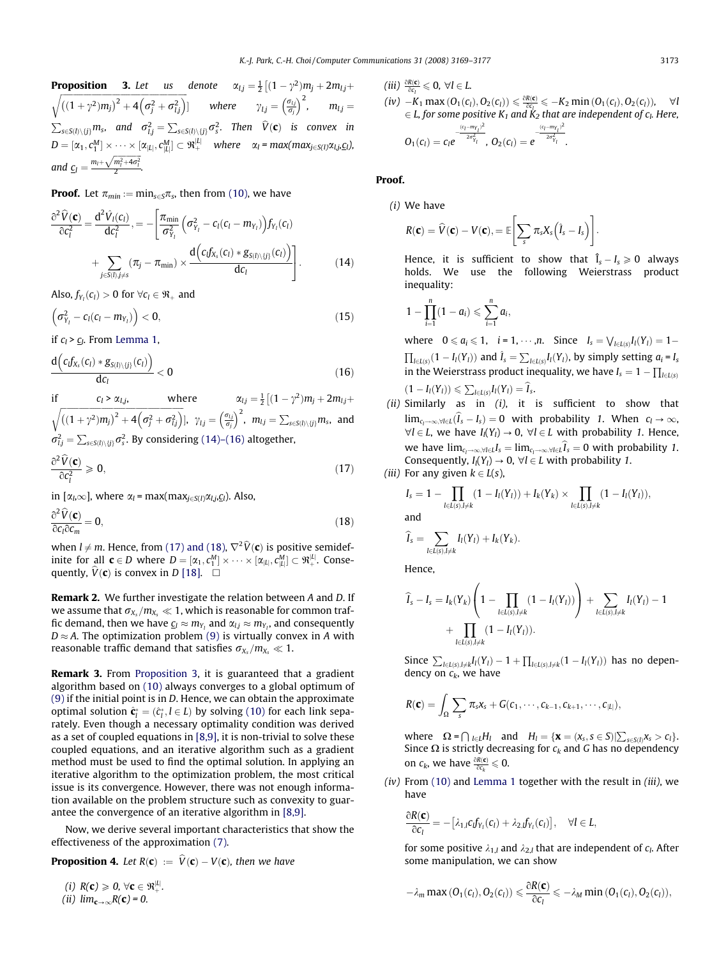<span id="page-4-0"></span>**Proposition** 3. Let us denote  $\alpha_{lj} = \frac{1}{2} \left[ (1 - \gamma^2) m_j + 2 m_{lj} + \frac{1}{2} \right]$ ffiffiffiffiffiffiffiffiffiffiffiffiffiffiffiffiffiffiffiffiffiffiffiffiffiffiffiffiffiffiffiffiffiffiffiffiffiffiffiffiffiffiffiffiffiffiffiffiffiffiffiffiffiffiffiffiffiffiffiffiffi  $\sqrt{(1+\gamma^2)m_j)^2+4\left(\sigma_j^2+\sigma_{lj}^2\right)}$  where  $\gamma_{lj}=\left(\frac{\sigma_{lj}}{\sigma_j}\right)$  $\left(\frac{\sigma_{lj}}{\sigma_i}\right)^2$ ,  $m_{lj} =$  $\sum_{s\in S(l)\setminus\{j\}}m_s$ , and  $\sigma_{lj}^2=\sum_{s\in S(l)\setminus\{j\}}\sigma_s^2$ . Then  $\widehat{V}(\mathbf{c})$  is convex in  $D=[\alpha_1, c_1^M]\times \cdots \times [\alpha_{|L|}, c_{|L|}^M] \subset \Re_+^{|L|} \quad \hbox{where} \quad \alpha_l = max(max_{j\in S(l)}\alpha_{l,j}, \underline{c_l}),$ and  $\underline{c}_l = \frac{m_l + \sqrt{m_l^2 + 4\sigma_l^2}}{2}$  $\frac{m_l + m_l}{2}$ .

**Proof.** Let  $\pi_{min} := \min_{s \in S} \pi_s$ , then from [\(10\)](#page-3-0), we have

$$
\frac{\partial^2 \widehat{V}(\mathbf{c})}{\partial c_l^2} = \frac{\mathbf{d}^2 \widehat{V}_l(c_l)}{\mathbf{d}c_l^2}, = -\left[\frac{\pi_{\min}}{\sigma_{Y_l}^2} \left(\sigma_{Y_l}^2 - c_l(c_l - m_{Y_l})\right) f_{Y_l}(c_l) + \sum_{j \in S(l), j \neq s} (\pi_j - \pi_{\min}) \times \frac{\mathbf{d}\left(c_l f_{X_s}(c_l) * g_{S(l) \setminus \{j\}}(c_l)\right)}{\mathbf{d}c_l}\right].
$$
\n(14)

Also,  $f_{Y_l}(c_l) > 0$  for  $\forall c_l \in \Re_+$  and

$$
\left(\sigma_{Y_l}^2-c_l(c_l-m_{Y_l})\right)<0,
$$
\n(15)

if  $c_l$  >  $c_l$ . From [Lemma 1,](#page-3-0)

$$
\frac{d\left(c_i f_{X_s}(c_i) * g_{S(l)\setminus\{j\}}(c_i)\right)}{dc_i} < 0
$$
\n(16)

if  $c_1 > \alpha_{l,j}$ , where  $\alpha_{l,j} = \frac{1}{2} \left[ (1 - \gamma^2) m_j + 2 m_{l,j} + \frac{1}{2} \right]$  $\sqrt{\left((1+\gamma^2)m_j\right)^2+4\left(\sigma_j^2+\sigma_{lj}^2\right)}$ ],  $\gamma_{lj}=\left(\frac{\sigma_{lj}}{\sigma_j}\right)$  $\left(\frac{\sigma_{lj}}{\sigma_i}\right)^2$ ,  $m_{lj} = \sum_{s \in S(l) \setminus \{j\}} m_s$ , and  $\sigma^2_{lj} = \sum_{s \in S(l) \setminus \{j\}} \sigma^2_s$ . By considering (14)–(16) altogether,  $\sim$ 20 $\sim$ 

$$
\frac{\partial^2 V(\mathbf{C})}{\partial c_l^2} \geqslant 0,\tag{17}
$$

in  $[\alpha_l,\infty]$ , where  $\alpha_l = \max(\max_{j\in S(l)}\alpha_{l,j},c_l)$ . Also,

$$
\frac{\partial^2 \hat{V}(\mathbf{c})}{\partial c_l \partial c_m} = 0, \tag{18}
$$

when  $l \neq m$ . Hence, from (17) and (18),  $\nabla^2 \widehat{V}(\mathbf{c})$  is positive semidefinite for all  $c \in D$  where  $D = [\alpha_1, c_1^M] \times \cdots \times [\alpha_{|L|}, c_{|L|}^M] \subset \mathfrak{R}^{|L|}_+$ . Consequently,  $\hat{V}(\mathbf{c})$  is convex in D [\[18\]](#page-8-0).  $\Box$ 

Remark 2. We further investigate the relation between A and D. If we assume that  $\sigma_{X_s}/m_{X_s} \ll 1$ , which is reasonable for common traffic demand, then we have  $\underline{c}_l \approx m_{Y_l}$  and  $\alpha_{l,j} \approx m_{Y_l}$ , and consequently  $D \approx A$ . The optimization problem [\(9\)](#page-3-0) is virtually convex in A with reasonable traffic demand that satisfies  $\sigma_{X_s}/m_{X_s} \ll 1$ .

Remark 3. From Proposition 3, it is guaranteed that a gradient algorithm based on [\(10\)](#page-3-0) always converges to a global optimum of [\(9\)](#page-3-0) if the initial point is in D. Hence, we can obtain the approximate optimal solution  $\hat{\mathbf{c}}_l^* = (\hat{c}_l^*, l \in L)$  by solving [\(10\)](#page-3-0) for each link separately. Even though a necessary optimality condition was derived as a set of coupled equations in [\[8,9\],](#page-8-0) it is non-trivial to solve these coupled equations, and an iterative algorithm such as a gradient method must be used to find the optimal solution. In applying an iterative algorithm to the optimization problem, the most critical issue is its convergence. However, there was not enough information available on the problem structure such as convexity to guarantee the convergence of an iterative algorithm in [\[8,9\].](#page-8-0)

Now, we derive several important characteristics that show the effectiveness of the approximation [\(7\).](#page-3-0)

**Proposition 4.** Let  $R(c) := \hat{V}(c) - V(c)$ , then we have

(i)  $R(c) \geqslant 0, \forall c \in \mathfrak{R}^{|L|}_+.$ (ii)  $\lim_{\mathbf{c}\to\infty}R(\mathbf{c}) = 0.$ 

(iii) 
$$
\frac{\partial R(c)}{\partial c_1} \le 0
$$
,  $\forall l \in L$ .  
\n(iv)  $-K_1 \max (O_1(c_l), O_2(c_l)) \le \frac{\partial R(c)}{\partial c_l} \le -K_2 \min (O_1(c_l), O_2(c_l))$ ,  $\forall l \in L$ , for some positive  $K_1$  and  $K_2$  that are independent of  $c_l$ . Here,  $\frac{(c_l - m_{Y_l})^2}{\frac{(-l - m_{Y_l})^2}{\cdots}}$ 

$$
O_1(c_l) = c_l e^{\frac{2\sigma_{Y_l}^2}{2\sigma_{Y_l}^2}}, O_2(c_l) = e^{\frac{2\sigma_{Y_l}^2}{2\sigma_{Y_l}^2}}.
$$

Proof.

(i) We have

$$
R(\mathbf{c}) = \widehat{V}(\mathbf{c}) - V(\mathbf{c}), = \mathbb{E}\bigg[\sum_{s} \pi_{s} X_{s}(\hat{I}_{s} - I_{s})\bigg].
$$

Hence, it is sufficient to show that  $\hat{I}_s - I_s \ge 0$  always holds. We use the following Weierstrass product inequality:

$$
1-\prod_{i=1}^n(1-a_i)\leqslant \sum_{i=1}^n a_i,
$$

where  $0 \le a_i \le 1$ ,  $i = 1, \dots, n$ . Since  $I_s = \bigvee_{l \in L(s)} I_l(Y_l) = 1 -$ <br>  $\Pi$  (1  $L(Y_s)$ ) and  $\hat{I} = \sum_{l \in L(s)} L(Y_s)$  by simply setting  $a_i = I$  $\hat{I}_{l\in L(s)}(1 - I_l(Y_l))$  and  $\hat{I}_s = \sum_{l\in L(s)} I_l(Y_l)$ , by simply setting  $a_i = I_s$ in the Weierstrass product inequality, we have  $I_s = 1 - \prod_{l \in L(s)}$  $(1 - I_l(Y_l)) \leq \sum_{l \in L(s)} I_l(Y_l) = \widehat{I}_s.$ 

 $(ii)$  Similarly as in  $(i)$ , it is sufficient to show that  $\lim_{c_1\to\infty, \forall l\in L}(\hat{I}_s - I_s) = 0$  with probability 1. When  $c_l \to \infty$ ,  $\forall l \in L$ , we have  $I_l(Y_l) \rightarrow 0$ ,  $\forall l \in L$  with probability 1. Hence, we have  $\lim_{c_l\to\infty, \forall l\in L}I_s = \lim_{c_l\to\infty, \forall l\in L}I_s = 0$  with probability 1. Consequently,  $I_l(Y_l) \to 0$ ,  $\forall l \in L$  with probability 1.

(iii) For any given  $k \in L(s)$ ,

$$
I_s = 1 - \prod_{l \in L(s), l \neq k} (1 - I_l(Y_l)) + I_k(Y_k) \times \prod_{l \in L(s), l \neq k} (1 - I_l(Y_l)),
$$
 and

$$
\widehat{I}_s = \sum_{l \in L(s), l \neq k} I_l(Y_l) + I_k(Y_k).
$$

Hence,

$$
\widehat{I}_s - I_s = I_k(Y_k) \left( 1 - \prod_{l \in L(s), l \neq k} (1 - I_l(Y_l)) \right) + \sum_{l \in L(s), l \neq k} I_l(Y_l) - 1 + \prod_{l \in L(s), l \neq k} (1 - I_l(Y_l)).
$$

Since  $\sum_{l \in L(s), l \neq k} I_l(Y_l) - 1 + \prod_{l \in L(s), l \neq k} (1 - I_l(Y_l))$  has no dependency on  $c_k$ , we have

$$
R(\mathbf{c}) = \int_{\Omega} \sum_{s} \pi_{s} x_{s} + G(c_{1}, \cdots, c_{k-1}, c_{k+1}, \cdots, c_{|L|}),
$$

where  $\Omega = \bigcap_{l \in L} H_l$  and  $H_l = \{ \mathbf{x} = (x_s, s \in S) | \sum_{s \in S(l)} x_s > c_l \}.$ Since  $\Omega$  is strictly decreasing for  $c_k$  and G has no dependency on  $c_k$ , we have  $\frac{\partial R(\mathbf{c})}{\partial c_k} \leq 0$ .

 $(iv)$  From  $(10)$  and [Lemma 1](#page-3-0) together with the result in  $(iii)$ , we have

$$
\frac{\partial R(\mathbf{c})}{\partial c_l} = -[\lambda_{1,l} c_l f_{Y_l}(c_l) + \lambda_{2,l} f_{Y_l}(c_l)], \quad \forall l \in L,
$$

for some positive  $\lambda_{1,l}$  and  $\lambda_{2,l}$  that are independent of  $c_l$ . After some manipulation, we can show

$$
-\lambda_m \max (O_1(c_l), O_2(c_l)) \leqslant \frac{\partial R(\boldsymbol{c})}{\partial c_l} \leqslant -\lambda_M \min (O_1(c_l), O_2(c_l)),
$$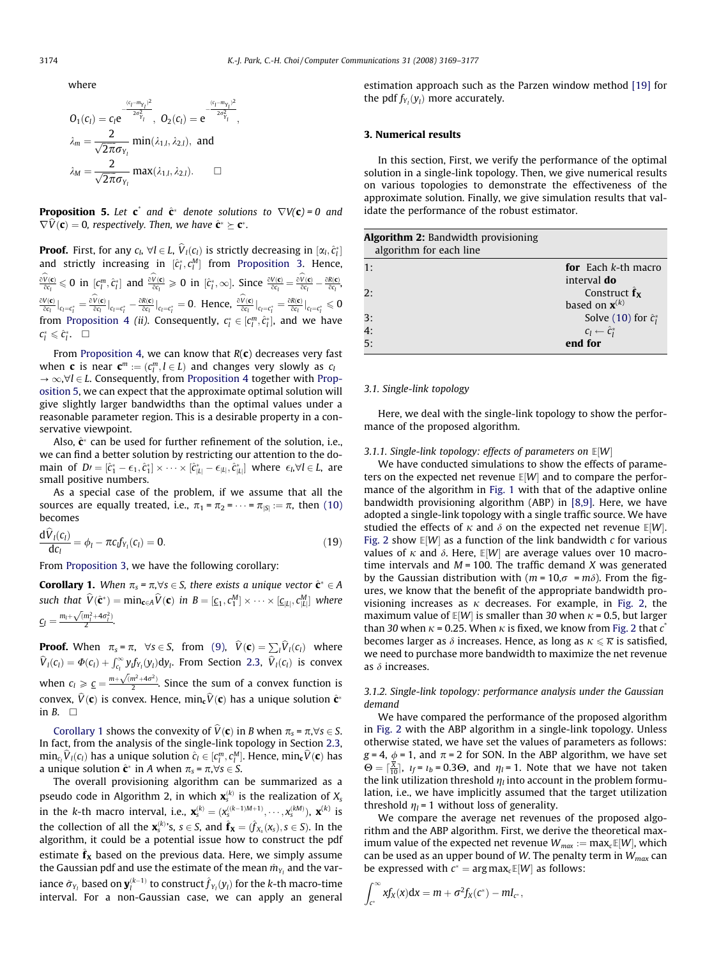<span id="page-5-0"></span>where

$$
O_1(c_l) = c_l e^{-\frac{(c_l - m_{Y_l})^2}{2\sigma_{Y_l}^2}}, O_2(c_l) = e^{-\frac{(c_l - m_{Y_l})^2}{2\sigma_{Y_l}^2}},
$$
  

$$
\lambda_m = \frac{2}{\sqrt{2\pi}\sigma_{Y_l}} \min(\lambda_{1,l}, \lambda_{2,l}), \text{ and}
$$
  

$$
\lambda_M = \frac{2}{\sqrt{2\pi}\sigma_{Y_l}} \max(\lambda_{1,l}, \lambda_{2,l}). \square
$$

**Proposition 5.** Let  $\mathbf{c}^*$  and  $\hat{\mathbf{c}}^*$  denote solutions to  $\nabla V(\mathbf{c}) = 0$  and  $\nabla \widetilde{V}(\mathbf{c}) = 0$ , respectively. Then, we have  $\hat{\mathbf{c}}^* \succeq \mathbf{c}^*$ .

**Proof.** First, for any  $c_h \; \forall l \in L$ ,  $\hat{V}_l(c_l)$  is strictly decreasing in  $[\alpha_l, \hat{c}_l^*]$ and strictly increasing in  $[\hat{c}_l^*, c_l^M]$  from [Proposition 3.](#page-4-0) Hence,  $\frac{\partial V(\mathbf{c})}{\partial c_l} \leq 0$  in  $[c_l^m, \hat{c}_l^*]$  and  $\frac{\partial V(\mathbf{c})}{\partial c_l} \geq 0$  in  $[\hat{c}_l^*, \infty]$ . Since  $\frac{\partial V(\mathbf{c})}{\partial c_l} = \frac{\partial V(\mathbf{c})}{\partial c_l} - \frac{\partial R(\mathbf{c})}{\partial c_l}$  $\frac{\partial V(\mathbf{c})}{\partial c_l}|_{c_l=c_l^*} = \frac{\partial V(\mathbf{c})}{\partial c_l}|_{c_l=c_l^*} = 0$ . Hence,  $\frac{\partial V(\mathbf{c})}{\partial c_l}|_{c_l=c_l^*} = \frac{\partial R(\mathbf{c})}{\partial c_l}|_{c_l=c_l^*} \leq 0$ from [Proposition 4](#page-4-0) (ii). Consequently,  $c_l^* \in [c_l^m, \hat{c}_l^*]$ , and we have  $c_l^* \leqslant \hat{c}_l^*$ .  $\Box$ 

From [Proposition 4](#page-4-0), we can know that  $R(c)$  decreases very fast when **c** is near  $\mathbf{c}^m := (c_l^m, l \in L)$  and changes very slowly as  $c_l$  $\rightarrow \infty$ , $\forall l \in L$ . Consequently, from [Proposition 4](#page-4-0) together with Proposition 5, we can expect that the approximate optimal solution will give slightly larger bandwidths than the optimal values under a reasonable parameter region. This is a desirable property in a conservative viewpoint.

Also,  $\hat{\mathbf{c}}^*$  can be used for further refinement of the solution, i.e., we can find a better solution by restricting our attention to the domain of  $D' = [\hat{c}_1^* - \epsilon_1, \hat{c}_1^*] \times \cdots \times [\hat{c}_{|L|}^* - \epsilon_{|L|}, \hat{c}_{|L|}^*]$  where  $\epsilon_b \forall l \in L$ , are small positive numbers.

As a special case of the problem, if we assume that all the sources are equally treated, i.e.,  $\pi_1 = \pi_2 = \cdots = \pi_{|S|} := \pi$ , then [\(10\)](#page-3-0) becomes

$$
\frac{dV_l(c_l)}{dc_l} = \phi_l - \pi c_l f_{Y_l}(c_l) = 0.
$$
\n(19)

From [Proposition 3,](#page-4-0) we have the following corollary:

**Corollary 1.** When  $\pi_s = \pi, \forall s \in S$ , there exists a unique vector  $\hat{\mathbf{c}}^* \in A$ such that  $\widehat{V}(\hat{\mathbf{c}}^*) = \min_{\mathbf{c} \in A} \widehat{V}(\mathbf{c})$  in  $B = [\underline{c}_1, c_1^M] \times \cdots \times [\underline{c}_{|L|}, c_{|L|}^M]$  where  $c_l = \frac{m_l + \sqrt{m_l^2 + 4\sigma_l^2}}{2}.$ 

**Proof.** When  $\pi_s = \pi$ ,  $\forall s \in S$ , from [\(9\)](#page-3-0),  $\widehat{V}(\mathbf{c}) = \sum_l \widehat{V}_l(c_l)$  where  $\widehat{V}_l(c_l) = \Phi(c_l) + \int_{c_l}^{\infty} y_j f_{Y_l}(y_l) dy_l$ . From Section [2.3,](#page-1-0)  $\widehat{V}_l(c_l)$  is convex when  $c_l \ge \frac{c}{\epsilon} = \frac{m + \sqrt{(m^2 + 4\sigma^2)}}{2}$ . Since the sum of a convex function is convex,  $\widehat{V}(\mathbf{c})$  is convex. Hence, min $_{\mathbf{c}}\widehat{V}(\mathbf{c})$  has a unique solution  $\widehat{\mathbf{c}}^*$ in B.  $\Box$ 

Corollary 1 shows the convexity of  $\hat{V}(\mathbf{c})$  in B when  $\pi_s = \pi, \forall s \in S$ . In fact, from the analysis of the single-link topology in Section [2.3,](#page-1-0)  $\min_{c_l} \widehat{V}_l(c_l)$  has a unique solution  $\hat{c}_l \in [c_l^m, c_l^M].$  Hence,  $\min_{\bf c} \widehat{V}({\bf c})$  has a unique solution  $\hat{\mathbf{c}}^*$  in A when  $\pi_s$  =  $\pi, \forall s \in S$ .

The overall provisioning algorithm can be summarized as a pseudo code in Algorithm 2, in which  $\mathbf{x}_{s}^{(k)}$  is the realization of  $X_{s}$ in the k-th macro interval, i.e.,  $\mathbf{x}_{s}^{(k)} = (x_{s}^{((k-1)M+1)}, \cdots, x_{s}^{(kM)})$ ,  $\mathbf{x}^{(k)}$  is the collection of all the  $\mathbf{x}_s^{(k)}$ 's,  $s \in S$ , and  $\hat{\mathbf{f}}_{\mathbf{X}} = (\hat{f}_{X_s}(\mathbf{x}_s), s \in S)$ . In the algorithm, it could be a potential issue how to construct the pdf estimate  $\hat{f}_X$  based on the previous data. Here, we simply assume the Gaussian pdf and use the estimate of the mean  $\hat{m}_{Y_l}$  and the variance  $\hat{\sigma}_{Y_l}$  based on  $\mathbf{y}_l^{(k-1)}$  to construct  $\hat{f}_{Y_l}(y_l)$  for the  $k$ -th macro-time interval. For a non-Gaussian case, we can apply an general

estimation approach such as the Parzen window method [\[19\]](#page-8-0) for the pdf  $f_{Y_l}(y_l)$  more accurately.

## 3. Numerical results

In this section, First, we verify the performance of the optimal solution in a single-link topology. Then, we give numerical results on various topologies to demonstrate the effectiveness of the approximate solution. Finally, we give simulation results that validate the performance of the robust estimator.

| <b>Algorithm 2:</b> Bandwidth provisioning<br>algorithm for each line |                                           |
|-----------------------------------------------------------------------|-------------------------------------------|
| 1:                                                                    | <b>for</b> Each $k$ -th macro             |
|                                                                       | interval <b>do</b>                        |
| 2:                                                                    | Construct $\hat{\mathbf{f}}_{\mathbf{X}}$ |
|                                                                       | based on $\mathbf{x}^{(k)}$               |
| 3:                                                                    | Solve (10) for $\hat{c}_i^*$              |
| $rac{4}{5}$                                                           | $c_l \leftarrow \hat{c}_l^*$              |
|                                                                       | end for                                   |
|                                                                       |                                           |

#### 3.1. Single-link topology

Here, we deal with the single-link topology to show the performance of the proposed algorithm.

#### 3.1.1. Single-link topology: effects of parameters on  $E[W]$

We have conducted simulations to show the effects of parameters on the expected net revenue  $E[W]$  and to compare the performance of the algorithm in [Fig. 1](#page-2-0) with that of the adaptive online bandwidth provisioning algorithm (ABP) in [\[8,9\].](#page-8-0) Here, we have adopted a single-link topology with a single traffic source. We have studied the effects of  $\kappa$  and  $\delta$  on the expected net revenue E[W]. [Fig. 2](#page-6-0) show  $E[W]$  as a function of the link bandwidth c for various values of  $\kappa$  and  $\delta$ . Here,  $E[W]$  are average values over 10 macrotime intervals and  $M = 100$ . The traffic demand X was generated by the Gaussian distribution with  $(m = 10, \sigma = m\delta)$ . From the figures, we know that the benefit of the appropriate bandwidth provisioning increases as  $\kappa$  decreases. For example, in [Fig. 2](#page-6-0), the maximum value of  $E[W]$  is smaller than 30 when  $\kappa = 0.5$ , but larger than 30 when  $\kappa$  = 0.25. When  $\kappa$  is fixed, we know from [Fig. 2](#page-6-0) that  $c^*$ becomes larger as  $\delta$  increases. Hence, as long as  $\kappa \leq \overline{\kappa}$  is satisfied, we need to purchase more bandwidth to maximize the net revenue as  $\delta$  increases.

3.1.2. Single-link topology: performance analysis under the Gaussian demand

We have compared the performance of the proposed algorithm in [Fig. 2](#page-6-0) with the ABP algorithm in a single-link topology. Unless otherwise stated, we have set the values of parameters as follows:  $g = 4$ ,  $\phi = 1$ , and  $\pi = 2$  for SON. In the ABP algorithm, we have set  $\Theta = \left[\frac{X}{10}\right], i_f = i_b = 0.3\Theta$ , and  $\eta_l = 1$ . Note that we have not taken the link utilization threshold  $\eta_l$  into account in the problem formulation, i.e., we have implicitly assumed that the target utilization threshold  $\eta_l$  = 1 without loss of generality.

We compare the average net revenues of the proposed algorithm and the ABP algorithm. First, we derive the theoretical maximum value of the expected net revenue  $W_{max} := \max_{c} E[W]$ , which can be used as an upper bound of W. The penalty term in  $W_{max}$  can be expressed with  $c^* = \arg \max_{c} E[W]$  as follows:

$$
\int_{c^*}^\infty x f_X(x) dx = m + \sigma^2 f_X(c^*) - m I_{c^*},
$$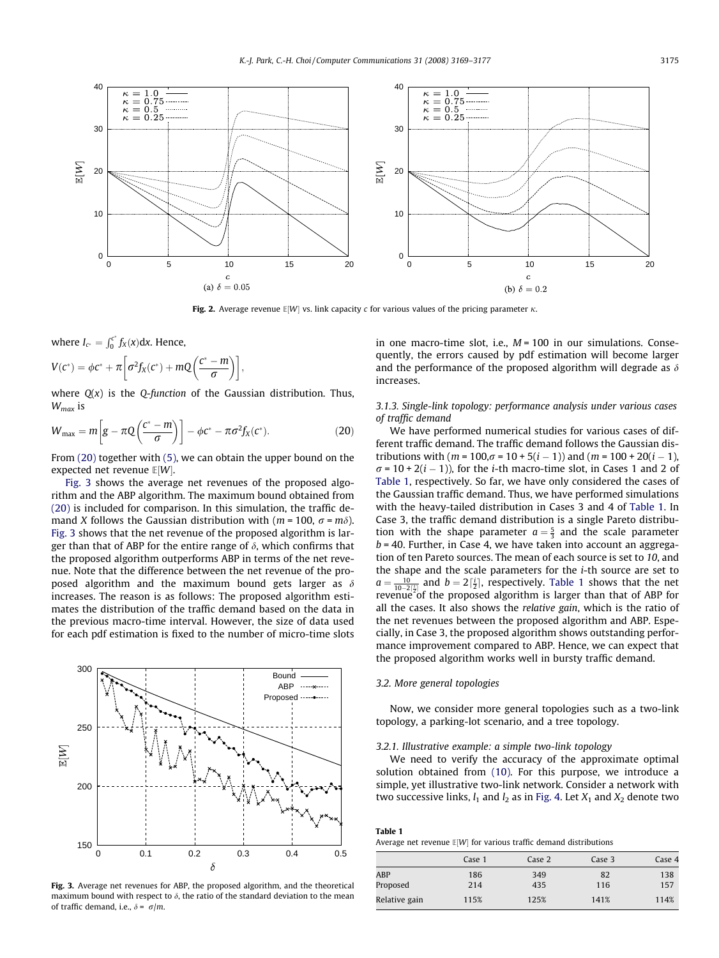<span id="page-6-0"></span>

Fig. 2. Average revenue  $E[W]$  vs. link capacity c for various values of the pricing parameter  $\kappa$ .

where  $I_{c^*} = \int_0^{c^*} f_X(x) dx$ . Hence,

$$
V(c^*) = \phi c^* + \pi \bigg[ \sigma^2 f_X(c^*) + mQ\bigg(\frac{c^* - m}{\sigma}\bigg) \bigg]
$$

where  $Q(x)$  is the *Q-function* of the Gaussian distribution. Thus,  $W_{\textit{max}}$  is

;

$$
W_{\text{max}} = m \left[ g - \pi Q \left( \frac{c^* - m}{\sigma} \right) \right] - \phi c^* - \pi \sigma^2 f_X(c^*).
$$
 (20)

From (20) together with [\(5\),](#page-2-0) we can obtain the upper bound on the expected net revenue  $E[W]$ .

Fig. 3 shows the average net revenues of the proposed algorithm and the ABP algorithm. The maximum bound obtained from (20) is included for comparison. In this simulation, the traffic demand X follows the Gaussian distribution with ( $m = 100$ ,  $\sigma = m\delta$ ). Fig. 3 shows that the net revenue of the proposed algorithm is larger than that of ABP for the entire range of  $\delta$ , which confirms that the proposed algorithm outperforms ABP in terms of the net revenue. Note that the difference between the net revenue of the proposed algorithm and the maximum bound gets larger as  $\delta$ increases. The reason is as follows: The proposed algorithm estimates the distribution of the traffic demand based on the data in the previous macro-time interval. However, the size of data used for each pdf estimation is fixed to the number of micro-time slots



Fig. 3. Average net revenues for ABP, the proposed algorithm, and the theoretical maximum bound with respect to  $\delta$ , the ratio of the standard deviation to the mean of traffic demand, i.e.,  $\delta = \sigma/m$ .

in one macro-time slot, i.e.,  $M = 100$  in our simulations. Consequently, the errors caused by pdf estimation will become larger and the performance of the proposed algorithm will degrade as  $\delta$ increases.

3.1.3. Single-link topology: performance analysis under various cases of traffic demand

We have performed numerical studies for various cases of different traffic demand. The traffic demand follows the Gaussian distributions with  $(m = 100, \sigma = 10 + 5(i - 1))$  and  $(m = 100 + 20(i - 1))$ ,  $\sigma$  = 10 + 2(*i* – 1)), for the *i*-th macro-time slot, in Cases 1 and 2 of Table 1, respectively. So far, we have only considered the cases of the Gaussian traffic demand. Thus, we have performed simulations with the heavy-tailed distribution in Cases 3 and 4 of Table 1. In Case 3, the traffic demand distribution is a single Pareto distribution with the shape parameter  $a = \frac{5}{3}$  and the scale parameter  $b = 40$ . Further, in Case 4, we have taken into account an aggregation of ten Pareto sources. The mean of each source is set to 10, and the shape and the scale parameters for the i-th source are set to  $a = \frac{10}{10-2[\frac{1}{2}]}$  and  $b = 2[\frac{1}{2}]$ , respectively. Table 1 shows that the net revenue of the proposed algorithm is larger than that of ABP for all the cases. It also shows the relative gain, which is the ratio of the net revenues between the proposed algorithm and ABP. Especially, in Case 3, the proposed algorithm shows outstanding performance improvement compared to ABP. Hence, we can expect that the proposed algorithm works well in bursty traffic demand.

#### 3.2. More general topologies

Now, we consider more general topologies such as a two-link topology, a parking-lot scenario, and a tree topology.

#### 3.2.1. Illustrative example: a simple two-link topology

We need to verify the accuracy of the approximate optimal solution obtained from [\(10\).](#page-3-0) For this purpose, we introduce a simple, yet illustrative two-link network. Consider a network with two successive links,  $l_1$  and  $l_2$  as in [Fig. 4](#page-7-0). Let  $X_1$  and  $X_2$  denote two

| Table 1                                                             |  |
|---------------------------------------------------------------------|--|
| Average net revenue $E[W]$ for various traffic demand distributions |  |

|                 | Case 1     | Case 2     | Case 3    | Case 4     |
|-----------------|------------|------------|-----------|------------|
| ABP<br>Proposed | 186<br>214 | 349<br>435 | 82<br>116 | 138<br>157 |
| Relative gain   | 115%       | 125%       | 141%      | 114%       |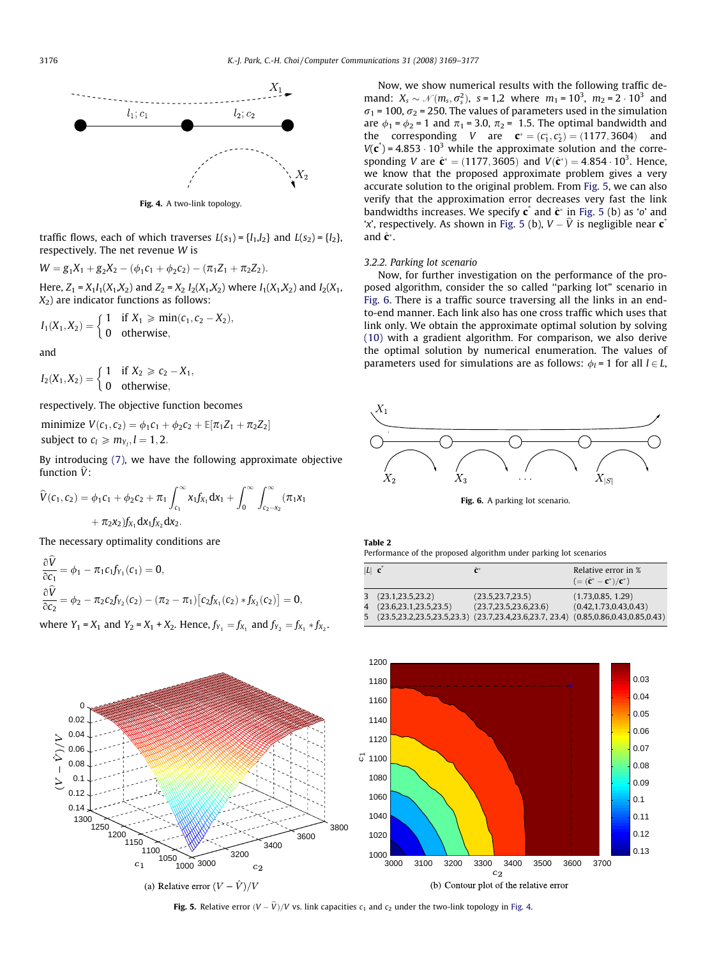<span id="page-7-0"></span>

Fig. 4. A two-link topology.

traffic flows, each of which traverses  $L(s_1) = \{l_1, l_2\}$  and  $L(s_2) = \{l_2\}$ , respectively. The net revenue W is

$$
W=g_1X_1+g_2X_2-(\phi_1c_1+\phi_2c_2)-(\pi_1Z_1+\pi_2Z_2).
$$

Here,  $Z_1 = X_1I_1(X_1,X_2)$  and  $Z_2 = X_2 I_2(X_1,X_2)$  where  $I_1(X_1,X_2)$  and  $I_2(X_1, X_2)$  $X_2$ ) are indicator functions as follows:

$$
I_1(X_1, X_2) = \begin{cases} 1 & \text{if } X_1 \geqslant \min(c_1, c_2 - X_2), \\ 0 & \text{otherwise}, \end{cases}
$$

and

$$
I_2(X_1,X_2)=\left\{\begin{matrix}1 & \text{if }X_2\geqslant c_2-X_1,\\0 & \text{otherwise,}\end{matrix}\right.
$$

respectively. The objective function becomes

minimize 
$$
V(c_1, c_2) = \phi_1 c_1 + \phi_2 c_2 + \mathbb{E}[\pi_1 Z_1 + \pi_2 Z_2]
$$
  
subject to  $c_l \ge m_{Y_l}, l = 1, 2$ .

By introducing [\(7\)](#page-3-0), we have the following approximate objective function  $\hat{V}$ :

$$
\begin{aligned} \widehat{V}(c_1,c_2) &= \phi_1 c_1 + \phi_2 c_2 + \pi_1 \int_{c_1}^{\infty} x_1 f_{X_1} \, dx_1 + \int_0^{\infty} \int_{c_2 - x_2}^{\infty} (\pi_1 x_1 + \pi_2 x_2) f_{X_1} \, dx_1 f_{X_2} \, dx_2. \end{aligned}
$$

The necessary optimality conditions are

$$
\frac{\partial \hat{V}}{\partial c_1} = \phi_1 - \pi_1 c_1 f_{Y_1}(c_1) = 0,\n\frac{\partial \hat{V}}{\partial c_2} = \phi_2 - \pi_2 c_2 f_{Y_2}(c_2) - (\pi_2 - \pi_1) [c_2 f_{X_1}(c_2) * f_{X_2}(c_2)] = 0,
$$

where  $Y_1 = X_1$  and  $Y_2 = X_1 + X_2$ . Hence,  $f_{Y_1} = f_{X_1}$  and  $f_{Y_2} = f_{X_1} * f_{X_2}$ .

3000 1000

(a) Relative error  $(V - \hat{V})/V$ 

1050 1100 1150 ,<br>1200

 $\scriptstyle c_1$ 

1300 <sup>→</sup><br>1250 0.14 0.12 0.1 0.08 0.06 0.04 0.02 0

 $\hat{V}$ )/ $V$ 

 $\overline{U}$ 

3200

 $c_2$ 



#### 3.2.2. Parking lot scenario

Now, for further investigation on the performance of the proposed algorithm, consider the so called ''parking lot" scenario in Fig. 6. There is a traffic source traversing all the links in an endto-end manner. Each link also has one cross traffic which uses that link only. We obtain the approximate optimal solution by solving [\(10\)](#page-3-0) with a gradient algorithm. For comparison, we also derive the optimal solution by numerical enumeration. The values of parameters used for simulations are as follows:  $\phi_l = 1$  for all  $l \in L$ ,



Fig. 6. A parking lot scenario.

#### Table 2

Performance of the proposed algorithm under parking lot scenarios

| $ L $ c |                            | $\hat{\mathbf{r}}^*$                                                                | Relative error in %        |
|---------|----------------------------|-------------------------------------------------------------------------------------|----------------------------|
|         |                            |                                                                                     | $(=(\hat{c}^* - c^*)/c^*)$ |
|         | 3(23.1, 23.5, 23.2)        | (23.5, 23.7, 23.5)                                                                  | (1.73, 0.85, 1.29)         |
|         | 4 (23.6, 23.1, 23.5, 23.5) | (23.7, 23.5, 23.6, 23.6)                                                            | (0.42, 1.73, 0.43, 0.43)   |
|         |                            | 5 (23.5,23.2,23.5,23.5,23.3) (23.7,23.4,23.6,23.7, 23.4) (0.85,0.86,0.43,0.85,0.43) |                            |



**Fig. 5.** Relative error  $(V - \hat{V})/V$  vs. link capacities  $c_1$  and  $c_2$  under the two-link topology in Fig. 4.